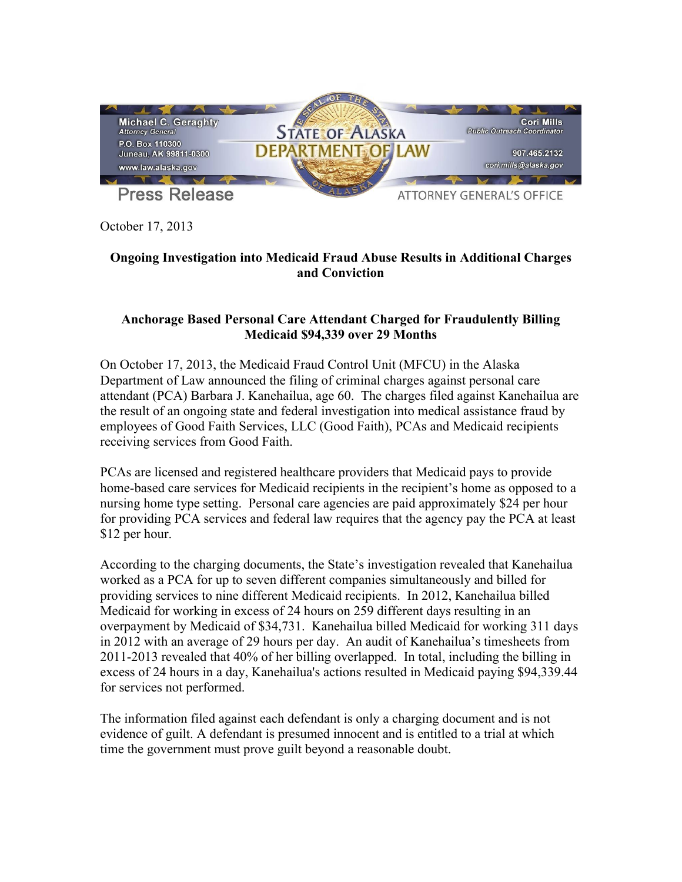

October 17, 2013

## **Ongoing Investigation into Medicaid Fraud Abuse Results in Additional Charges and Conviction**

## **Anchorage Based Personal Care Attendant Charged for Fraudulently Billing Medicaid \$94,339 over 29 Months**

On October 17, 2013, the Medicaid Fraud Control Unit (MFCU) in the Alaska Department of Law announced the filing of criminal charges against personal care attendant (PCA) Barbara J. Kanehailua, age 60. The charges filed against Kanehailua are the result of an ongoing state and federal investigation into medical assistance fraud by employees of Good Faith Services, LLC (Good Faith), PCAs and Medicaid recipients receiving services from Good Faith.

PCAs are licensed and registered healthcare providers that Medicaid pays to provide home-based care services for Medicaid recipients in the recipient's home as opposed to a nursing home type setting. Personal care agencies are paid approximately \$24 per hour for providing PCA services and federal law requires that the agency pay the PCA at least \$12 per hour.

According to the charging documents, the State's investigation revealed that Kanehailua worked as a PCA for up to seven different companies simultaneously and billed for providing services to nine different Medicaid recipients. In 2012, Kanehailua billed Medicaid for working in excess of 24 hours on 259 different days resulting in an overpayment by Medicaid of \$34,731. Kanehailua billed Medicaid for working 311 days in 2012 with an average of 29 hours per day. An audit of Kanehailua's timesheets from 2011-2013 revealed that 40% of her billing overlapped. In total, including the billing in excess of 24 hours in a day, Kanehailua's actions resulted in Medicaid paying \$94,339.44 for services not performed.

The information filed against each defendant is only a charging document and is not evidence of guilt. A defendant is presumed innocent and is entitled to a trial at which time the government must prove guilt beyond a reasonable doubt.